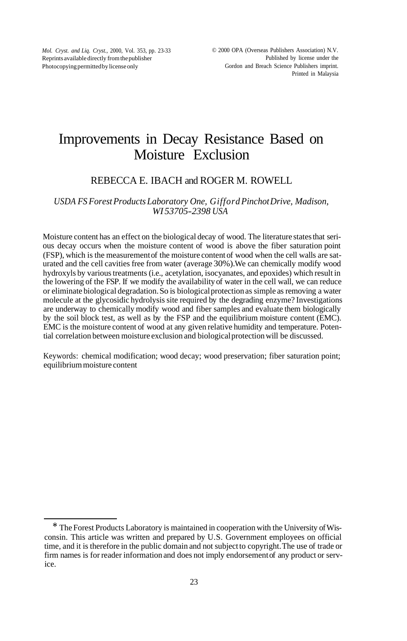*Mol. Cryst. and Liq. Cryst.,* 2000, Vol. 353, pp. 23-33 Reprints available directly from the publisher Photocopying permitted by license only

# Improvements in Decay Resistance Based on Moisture Exclusion

#### REBECCA E. IBACH and ROGER M. ROWELL

#### *USDA FS Forest Products Laboratory One, Gifford Pinchot Drive, Madison, WI 53705-2398 USA*

Moisture content has an effect on the biological decay of wood. The literature states that serious decay occurs when the moisture content of wood is above the fiber saturation point (FSP), which is the measurement of the moisture content of wood when the cell walls are saturated and the cell cavities free from water (average 30%). We can chemically modify wood hydroxyls by various treatments (i.e., acetylation, isocyanates, and epoxides) which result in the lowering of the FSP. If we modify the availability of water in the cell wall, we can reduce or eliminate biological degradation. So is biological protection as simple as removing a water molecule at the glycosidic hydrolysis site required by the degrading enzyme? Investigations are underway to chemically modify wood and fiber samples and evaluate them biologically by the soil block test, as well as by the FSP and the equilibrium moisture content (EMC). EMC is the moisture content of wood at any given relative humidity and temperature. Potential correlation between moisture exclusion and biological protection will be discussed.

Keywords: chemical modification; wood decay; wood preservation; fiber saturation point; equilibrium moisture content

<sup>\*</sup> The Forest Products Laboratory is maintained in cooperation with the University of Wisconsin. This article was written and prepared by U.S. Government employees on official time, and it is therefore in the public domain and not subject to copyright. The use of trade or firm names is for reader information and does not imply endorsement of any product or service.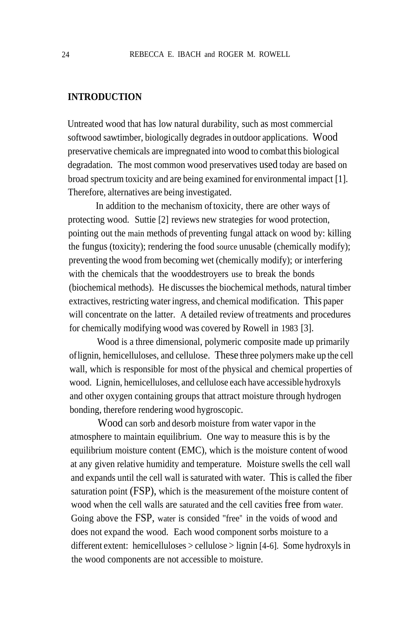### **INTRODUCTION**

Untreated wood that has low natural durability, such as most commercial softwood sawtimber, biologically degrades in outdoor applications. Wood preservative chemicals are impregnated into wood to combat this biological degradation. The most common wood preservatives used today are based on broad spectrum toxicity and are being examined for environmental impact [1]. Therefore, alternatives are being investigated.

In addition to the mechanism of toxicity, there are other ways of protecting wood. Suttie [2] reviews new strategies for wood protection, pointing out the main methods of preventing fungal attack on wood by: killing the fungus (toxicity); rendering the food source unusable (chemically modify); preventing the wood from becoming wet (chemically modify); or interfering with the chemicals that the wooddestroyers use to break the bonds (biochemical methods). He discusses the biochemical methods, natural timber extractives, restricting water ingress, and chemical modification. This paper will concentrate on the latter. A detailed review of treatments and procedures for chemically modifying wood was covered by Rowell in 1983 [3].

Wood is a three dimensional, polymeric composite made up primarily of lignin, hemicelluloses, and cellulose. These three polymers make up the cell wall, which is responsible for most of the physical and chemical properties of wood. Lignin, hemicelluloses, and cellulose each have accessible hydroxyls and other oxygen containing groups that attract moisture through hydrogen bonding, therefore rendering wood hygroscopic.

Wood can sorb and desorb moisture from water vapor in the atmosphere to maintain equilibrium. One way to measure this is by the equilibrium moisture content (EMC), which is the moisture content of wood at any given relative humidity and temperature. Moisture swells the cell wall and expands until the cell wall is saturated with water. This is called the fiber saturation point (FSP), which is the measurement of the moisture content of wood when the cell walls are saturated and the cell cavities free from water. Going above the FSP, water is consided "free" in the voids of wood and does not expand the wood. Each wood component sorbs moisture to a different extent: hemicelluloses > cellulose > lignin [4-6]. Some hydroxyls in the wood components are not accessible to moisture.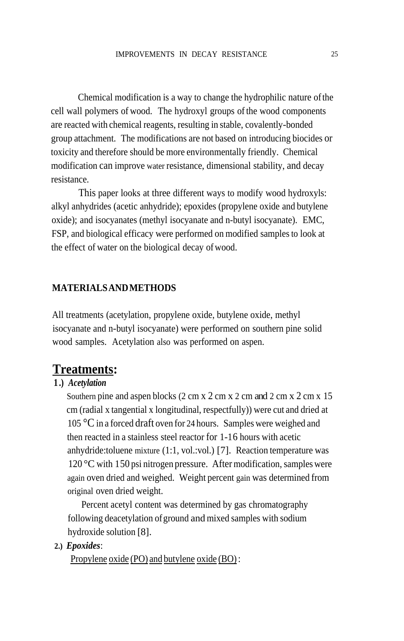Chemical modification is a way to change the hydrophilic nature of the cell wall polymers of wood. The hydroxyl groups of the wood components are reacted with chemical reagents, resulting in stable, covalently-bonded group attachment. The modifications are not based on introducing biocides or toxicity and therefore should be more environmentally friendly. Chemical modification can improve water resistance, dimensional stability, and decay resistance.

This paper looks at three different ways to modify wood hydroxyls: alkyl anhydrides (acetic anhydride); epoxides (propylene oxide and butylene oxide); and isocyanates (methyl isocyanate and n-butyl isocyanate). EMC, FSP, and biological efficacy were performed on modified samples to look at the effect of water on the biological decay of wood.

# **MATERIALS AND METHODS**

All treatments (acetylation, propylene oxide, butylene oxide, methyl isocyanate and n-butyl isocyanate) were performed on southern pine solid wood samples. Acetylation also was performed on aspen.

# **Treatments :**

# **1 .)** *Acetylation*

Southern pine and aspen blocks (2 cm x 2 cm x 2 cm and 2 cm x 2 cm x 15 cm (radial x tangential x longitudinal, respectfully)) were cut and dried at 105 °C in a forced draft oven for 24 hours. Samples were weighed and then reacted in a stainless steel reactor for 1-1 6 hours with acetic anhydride:toluene mixture (1:1, vol.:vol.) [7]. Reaction temperature was  $120^{\circ}$ C with 150 psi nitrogen pressure. After modification, samples were again oven dried and weighed. Weight percent gain was determined from original oven dried weight.

Percent acetyl content was determined by gas chromatography following deacetylation of ground and mixed samples with sodium hydroxide solution [8].

**2.)** *Epoxides* :

Propylene oxide (PO) and butylene oxide (BO) :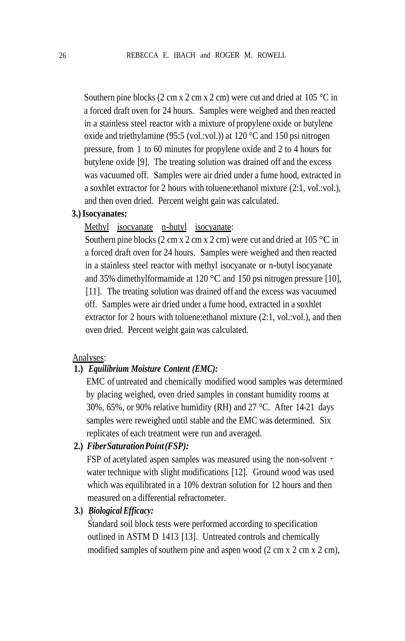Southern pine blocks (2 cm x 2 cm x 2 cm) were cut and dried at 105  $^{\circ}$ C in a forced draft oven for 24 hours. Samples were weighed and then reacted in a stainless steel reactor with a mixture of propylene oxide or butylene oxide and triethylamine (95:5 (vol.:vol.)) at 120 °C and 150 psi nitrogen pressure, from 1 to 60 minutes for propylene oxide and 2 to 4 hours for butylene oxide [9]. The treating solution was drained off and the excess was vacuumed off. Samples were air dried under a fume hood, extracted in a soxhlet extractor for 2 hours with toluene:ethanol mixture (2:1, vol.:vol.), and then oven dried. Percent weight gain was calculated.

#### **3.) Isocyanates:**

Methyl isocyanate n-butyl isocyanate:

Southern pine blocks (2 cm x 2 cm x 2 cm) were cut and dried at 105  $^{\circ}$ C in a forced draft oven for 24 hours. Samples were weighed and then reacted in a stainless steel reactor with methyl isocyanate or n-butyl isocyanate and 35% dimethylformamide at 120 °C and 150 psi nitrogen pressure [10], [11]. The treating solution was drained off and the excess was vacuumed off. Samples were air dried under a fume hood, extracted in a soxhlet extractor for 2 hours with toluene:ethanol mixture (2:1, vol.:vol.), and then oven dried. Percent weight gain was calculated.

#### Analyses:

#### **1.)** *Equilibrium Moisture Content (EMC):*

EMC of untreated and chemically modified wood samples was determined by placing weighed, oven dried samples in constant humidity rooms at 30%, 65%, or 90% relative humidity (RH) and 27 °C. After 14-21 days samples were reweighed until stable and the EMC was determined. Six replicates of each treatment were run and averaged.

## **2.)** *Fiber Saturation Point (FSP):*

FSP of acetylated aspen samples was measured using the non-solvent water technique with slight modifications [12]. Ground wood was used which was equilibrated in a 10% dextran solution for 12 hours and then measured on a differential refractometer.

## **3.)** *Biological Efficacy:* \

Standard soil block tests were performed according to specification outlined in ASTM D 1413 [13]. Untreated controls and chemically modified samples of southern pine and aspen wood (2 cm x 2 cm x 2 cm),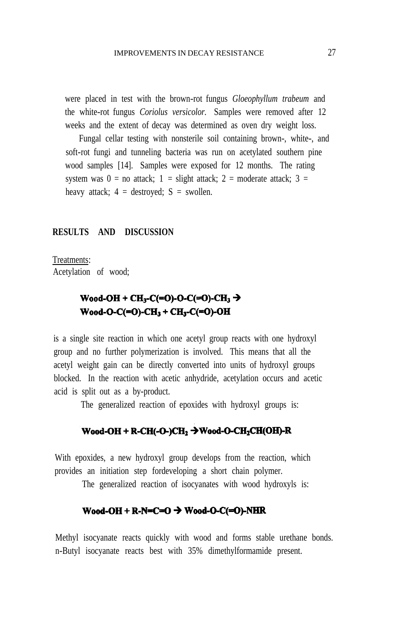were placed in test with the brown-rot fungus *Gloeophyllum trabeum* and the white-rot fungus *Coriolus versicolor.* Samples were removed after 12 weeks and the extent of decay was determined as oven dry weight loss.

Fungal cellar testing with nonsterile soil containing brown-, white-, and soft-rot fungi and tunneling bacteria was run on acetylated southern pine wood samples [14]. Samples were exposed for 12 months. The rating system was  $0 =$  no attack; 1 = slight attack; 2 = moderate attack; 3 = heavy attack;  $4 =$  destroyed;  $S =$  swollen.

#### **RESULTS AND DISCUSSION**

Treatments : Acetylation of wood;

# Wood-OH + CH<sub>3</sub>-C(=O)-O-C(=O)-CH<sub>3</sub>  $\rightarrow$ Wood-O-C(=O)-CH<sub>3</sub> + CH<sub>3</sub>-C(=O)-OH

is a single site reaction in which one acetyl group reacts with one hydroxyl group and no further polymerization is involved. This means that all the acetyl weight gain can be directly converted into units of hydroxyl groups blocked. In the reaction with acetic anhydride, acetylation occurs and acetic acid is split out as a by-product.

The generalized reaction of epoxides with hydroxyl groups is:

## Wood-OH + R-CH(-O-)CH<sub>2</sub>  $\rightarrow$  Wood-O-CH<sub>2</sub>CH(OH)-R

With epoxides, a new hydroxyl group develops from the reaction, which provides an initiation step fordeveloping a short chain polymer.

The generalized reaction of isocyanates with wood hydroxyls is:

## Wood-OH + R-N=C=O  $\rightarrow$  Wood-O-C(=O)-NHR

Methyl isocyanate reacts quickly with wood and forms stable urethane bonds. n-Butyl isocyanate reacts best with 35% dimethylformamide present.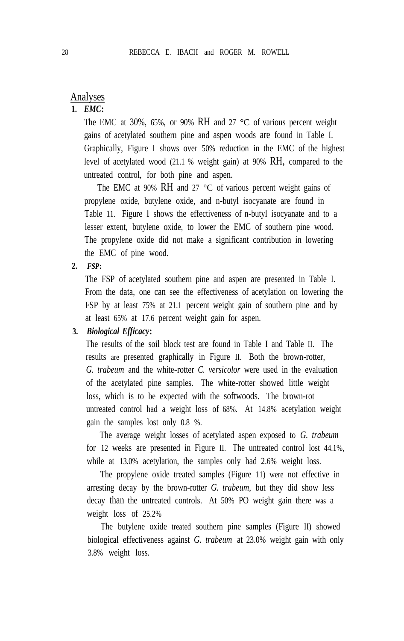# **Analyses**

# $\overline{1.}$  *EMC***:**

The EMC at 30%, 65%, or 90% RH and 27  $\degree$ C of various percent weight gains of acetylated southern pine and aspen woods are found in Table I. Graphically, Figure I shows over 50% reduction in the EMC of the highest level of acetylated wood (21.1 % weight gain) at 90% RH, compared to the untreated control, for both pine and aspen.

The EMC at 90% RH and 27  $\degree$ C of various percent weight gains of propylene oxide, butylene oxide, and n-butyl isocyanate are found in Table 11. Figure I shows the effectiveness of n-butyl isocyanate and to a lesser extent, butylene oxide, to lower the EMC of southern pine wood. The propylene oxide did not make a significant contribution in lowering the EMC of pine wood.

**2.** *FSP* **:** 

The FSP of acetylated southern pine and aspen are presented in Table I. From the data, one can see the effectiveness of acetylation on lowering the FSP by at least 75% at 21.1 percent weight gain of southern pine and by at least 65% at 17.6 percent weight gain for aspen.

## **3.** *Biological Efficacy* **:**

The results of the soil block test are found in Table I and Table II. The results are presented graphically in Figure II. Both the brown-rotter, *G. trabeum* and the white-rotter *C. versicolor* were used in the evaluation of the acetylated pine samples. The white-rotter showed little weight loss, which is to be expected with the softwoods. The brown-rot untreated control had a weight loss of 68%. At 14.8% acetylation weight gain the samples lost only 0.8 %.

The average weight losses of acetylated aspen exposed to *G. trabeum*  for 12 weeks are presented in Figure II. The untreated control lost 44.1%, while at 13.0% acetylation, the samples only had 2.6% weight loss.

arresting decay by the brown-rotter *G. trabeum,* but they did show less decay than the untreated controls. At 50% PO weight gain there was a weight loss of 25.2% The propylene oxide treated samples (Figure 11) were not effective in

biological effectiveness against *G. trabeum* at 23.0% weight gain with only 3.8% weight loss. The butylene oxide treated southern pine samples (Figure II) showed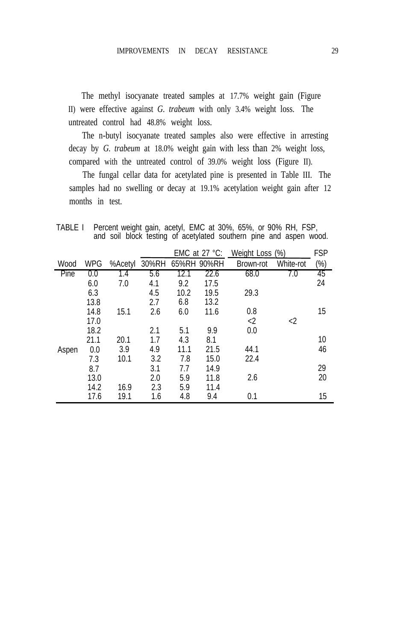The methyl isocyanate treated samples at 17.7% weight gain (Figure II) were effective against *G. trabeum* with only 3.4% weight loss. The untreated control had 48.8% weight loss.

decay by *G. trabeum* at 18.0% weight gain with less than 2% weight loss, compared with the untreated control of 39.0% weight loss (Figure II). The n-butyl isocyanate treated samples also were effective in arresting

The fungal cellar data for acetylated pine is presented in Table III. The samples had no swelling or decay at 19.1% acetylation weight gain after 12 months in test.

TABLE I Percent weight gain, acetyl, EMC at 30%, 65%, or 90% RH, FSP, and soil block testing of acetylated southern pine and aspen wood.

|       |            |         | EMC at 27 $^{\circ}$ C: |       | Weight Loss (%) |           | <b>FSP</b> |        |
|-------|------------|---------|-------------------------|-------|-----------------|-----------|------------|--------|
| Wood  | <b>WPG</b> | %Acetyl | 30%RH                   | 65%RH | 90%RH           | Brown-rot | White-rot  | $(\%)$ |
| Pine  | 0.0        | 1.4     | 5.6                     | 12.1  | 22.6            | 68.0      | 7.0        | 45     |
|       | 6.0        | 7.0     | 4.1                     | 9.2   | 17.5            |           |            | 24     |
|       | 6.3        |         | 4.5                     | 10.2  | 19.5            | 29.3      |            |        |
|       | 13.8       |         | 2.7                     | 6.8   | 13.2            |           |            |        |
|       | 14.8       | 15.1    | 2.6                     | 6.0   | 11.6            | 0.8       |            | 15     |
|       | 17.0       |         |                         |       |                 | $<$ 2     | $<$ 2      |        |
|       | 18.2       |         | 2.1                     | 5.1   | 9.9             | 0.0       |            |        |
|       | 21.1       | 20.1    | 1.7                     | 4.3   | 8.1             |           |            | 10     |
| Aspen | 0.0        | 3.9     | 4.9                     | 11.1  | 21.5            | 44.1      |            | 46     |
|       | 7.3        | 10.1    | 3.2                     | 7.8   | 15.0            | 22.4      |            |        |
|       | 8.7        |         | 3.1                     | 7.7   | 14.9            |           |            | 29     |
|       | 13.0       |         | 2.0                     | 5.9   | 11.8            | 2.6       |            | 20     |
|       | 14.2       | 16.9    | 2.3                     | 5.9   | 11.4            |           |            |        |
|       | 17.6       | 19.1    | 1.6                     | 4.8   | 9.4             | 0.1       |            | 15     |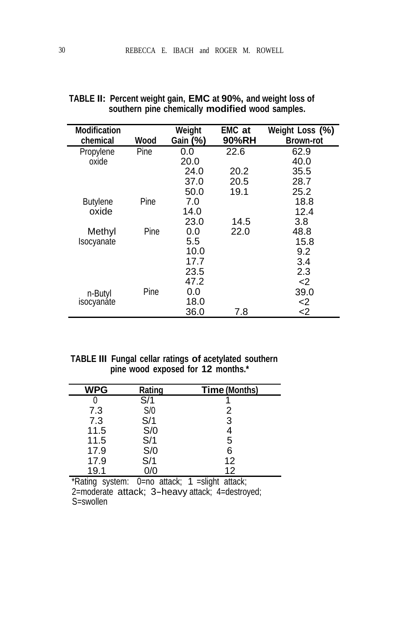| <b>Modification</b> |      | Weight   | <b>EMC</b> at | Weight Loss (%) |
|---------------------|------|----------|---------------|-----------------|
| chemical            | Wood | Gain (%) | 90%RH         | Brown-rot       |
| Propylene           | Pine | 0.0      | 22.6          | 62.9            |
| oxide               |      | 20.0     |               | 40.0            |
|                     |      | 24.0     | 20.2          | 35.5            |
|                     |      | 37.0     | 20.5          | 28.7            |
|                     |      | 50.0     | 19.1          | 25.2            |
| <b>Butylene</b>     | Pine | 7.0      |               | 18.8            |
| oxide               |      | 14.0     |               | 12.4            |
|                     |      | 23.0     | 14.5          | 3.8             |
| Methyl              | Pine | 0.0      | 22.0          | 48.8            |
| Isocyanate          |      | 5.5      |               | 15.8            |
|                     |      | 10.0     |               | 9.2             |
|                     |      | 17.7     |               | 3.4             |
|                     |      | 23.5     |               | 2.3             |
|                     |      | 47.2     |               | <2              |
| n-Butyl             | Pine | 0.0      |               | 39.0            |
| isocyanate          |      | 18.0     |               | $<$ 2           |
|                     |      | 36.0     | 7.8           | <2              |

| TABLE II: Percent weight gain, EMC at 90%, and weight loss of |  |
|---------------------------------------------------------------|--|
| southern pine chemically modified wood samples.               |  |

#### **TABLE III Fungal cellar ratings of acetylated southern pine wood exposed for 12 months.\***

| <b>WPG</b> | Rating                  | Time (Months) |
|------------|-------------------------|---------------|
|            | $\mathsf{S}/\mathsf{1}$ |               |
| 7.3        | S/0                     | 2             |
| 7.3        | S/1                     | 3             |
| 11.5       | S/0                     |               |
| 11.5       | S/1                     | 5             |
| 17.9       | S/0                     | 6             |
| 17.9       | S/1                     | 12            |
| 19.1       |                         | 12            |

\*Rating system: 0=no attack; 1 =slight attack; 2=moderate attack; 3-heavy attack; 4=destroyed; S=swollen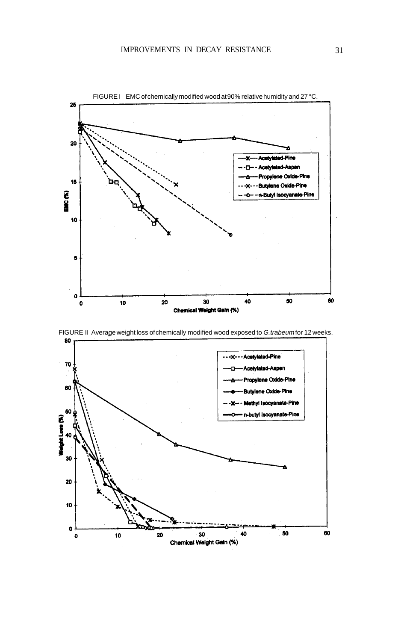



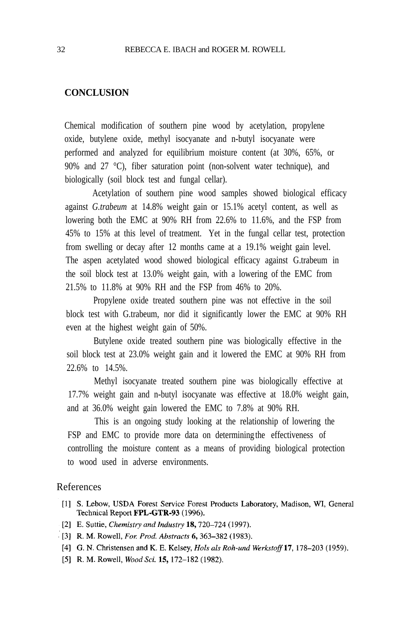## **CONCLUSION**

Chemical modification of southern pine wood by acetylation, propylene oxide, butylene oxide, methyl isocyanate and n-butyl isocyanate were performed and analyzed for equilibrium moisture content (at 30%, 65%, or 90% and 27 °C), fiber saturation point (non-solvent water technique), and biologically (soil block test and fungal cellar).

against *G.trabeum* at 14.8% weight gain or 15.1% acetyl content, as well as lowering both the EMC at 90% RH from 22.6% to 11.6%, and the FSP from 45% to 15% at this level of treatment. Yet in the fungal cellar test, protection from swelling or decay after 12 months came at a 19.1% weight gain level. The aspen acetylated wood showed biological efficacy against G.trabeum in the soil block test at 13.0% weight gain, with a lowering of the EMC from 21.5% to 11.8% at 90% RH and the FSP from 46% to 20%. Acetylation of southern pine wood samples showed biological efficacy

Propylene oxide treated southern pine was not effective in the soil block test with G.trabeum, nor did it significantly lower the EMC at 90% RH even at the highest weight gain of 50%.

soil block test at 23.0% weight gain and it lowered the EMC at 90% RH from 22.6% to 14.5%. Butylene oxide treated southern pine was biologically effective in the

Methyl isocyanate treated southern pine was biologically effective at 17.7% weight gain and n-butyl isocyanate was effective at 18.0% weight gain, and at 36.0% weight gain lowered the EMC to 7.8% at 90% RH.

FSP and EMC to provide more data on determining the effectiveness of controlling the moisture content as a means of providing biological protection to wood used in adverse environments. This is an ongoing study looking at the relationship of lowering the

#### References

- [1] S. Lebow, USDA Forest Service Forest Products Laboratory, Madison, WI, General Technical Report FPL-GTR-93 (1996).
- [2] E. Suttie, Chemistry and Industry 18, 720-724 (1997).
- [3] R. M. Rowell, For. Prod. Abstracts 6, 363-382 (1983).
- [4] G. N. Christensen and K. E. Kelsey, *Hols als Roh-und Werkstoff* 17, 178-203 (1959).
- [5] R. M. Rowell, Wood Sci. 15, 172-182 (1982).